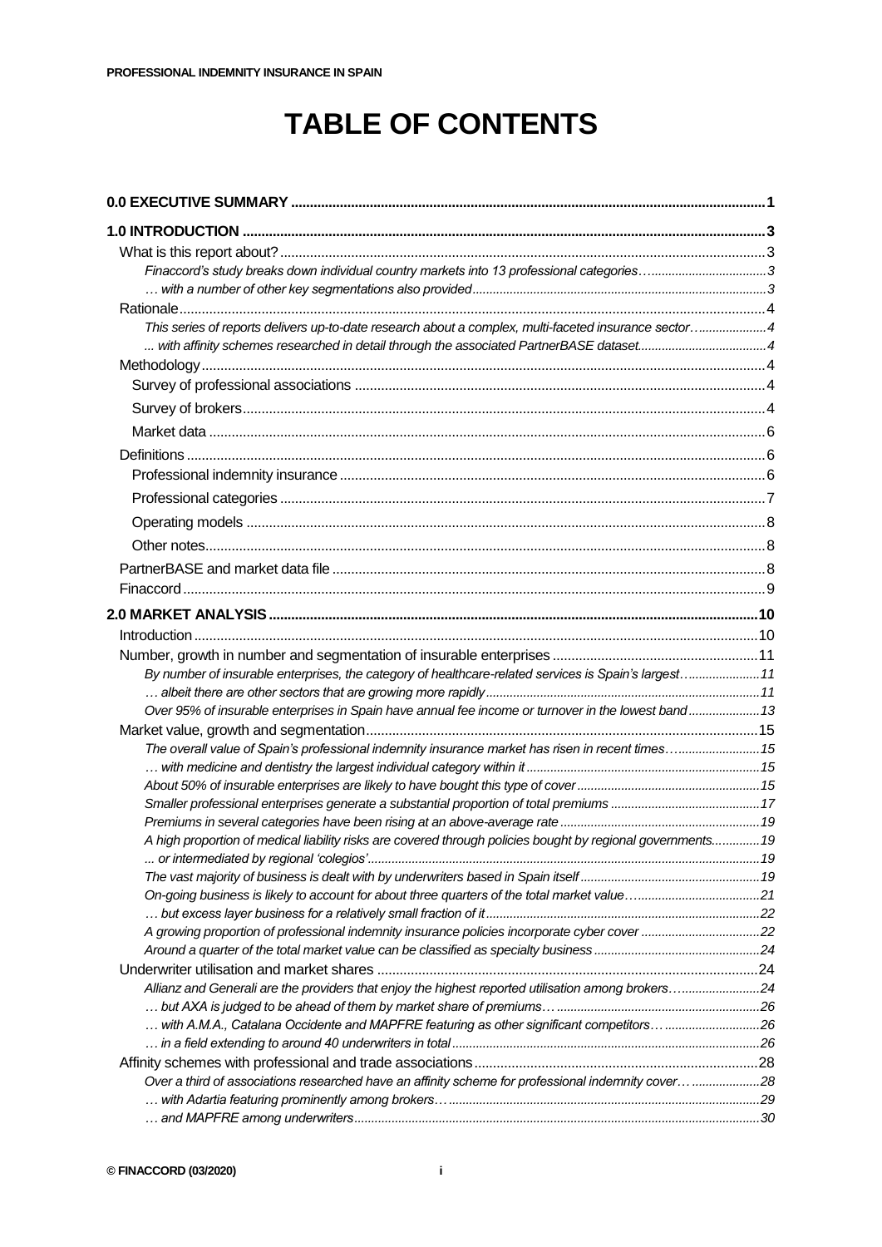## **TABLE OF CONTENTS**

| Finaccord's study breaks down individual country markets into 13 professional categories3                   |  |
|-------------------------------------------------------------------------------------------------------------|--|
|                                                                                                             |  |
|                                                                                                             |  |
| This series of reports delivers up-to-date research about a complex, multi-faceted insurance sector4        |  |
| with affinity schemes researched in detail through the associated PartnerBASE dataset4                      |  |
|                                                                                                             |  |
|                                                                                                             |  |
|                                                                                                             |  |
|                                                                                                             |  |
|                                                                                                             |  |
|                                                                                                             |  |
|                                                                                                             |  |
|                                                                                                             |  |
|                                                                                                             |  |
|                                                                                                             |  |
|                                                                                                             |  |
|                                                                                                             |  |
|                                                                                                             |  |
|                                                                                                             |  |
|                                                                                                             |  |
| By number of insurable enterprises, the category of healthcare-related services is Spain's largest11        |  |
| Over 95% of insurable enterprises in Spain have annual fee income or turnover in the lowest band 13         |  |
|                                                                                                             |  |
| The overall value of Spain's professional indemnity insurance market has risen in recent times 15           |  |
|                                                                                                             |  |
|                                                                                                             |  |
|                                                                                                             |  |
|                                                                                                             |  |
| A high proportion of medical liability risks are covered through policies bought by regional governments 19 |  |
|                                                                                                             |  |
|                                                                                                             |  |
|                                                                                                             |  |
|                                                                                                             |  |
| A growing proportion of professional indemnity insurance policies incorporate cyber cover 22                |  |
|                                                                                                             |  |
|                                                                                                             |  |
| Allianz and Generali are the providers that enjoy the highest reported utilisation among brokers24          |  |
|                                                                                                             |  |
| with A.M.A., Catalana Occidente and MAPFRE featuring as other significant competitors 26                    |  |
|                                                                                                             |  |
|                                                                                                             |  |
| Over a third of associations researched have an affinity scheme for professional indemnity cover 28         |  |
|                                                                                                             |  |
|                                                                                                             |  |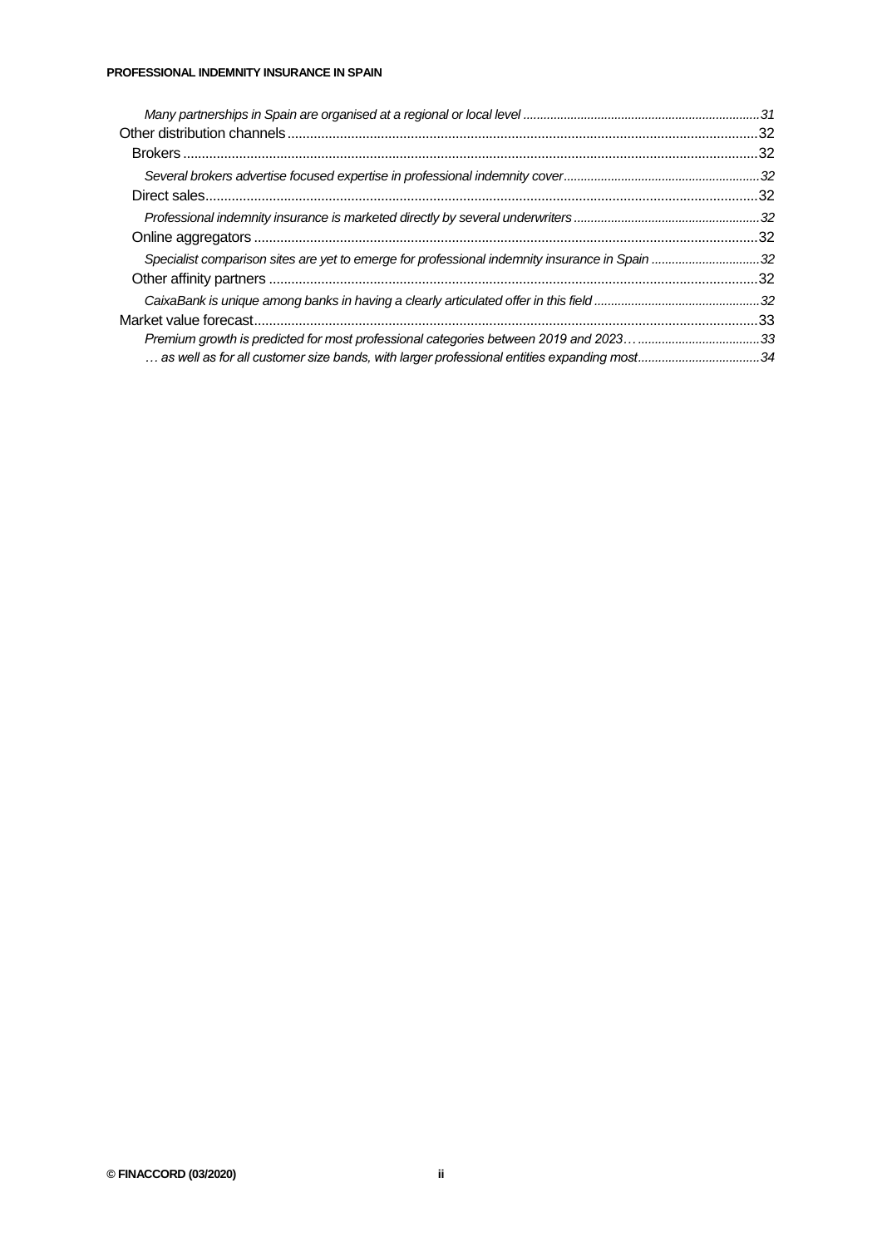| Specialist comparison sites are yet to emerge for professional indemnity insurance in Spain 32 |    |
|------------------------------------------------------------------------------------------------|----|
|                                                                                                |    |
|                                                                                                |    |
|                                                                                                | 33 |
|                                                                                                |    |
| as well as for all customer size bands, with larger professional entities expanding most34     |    |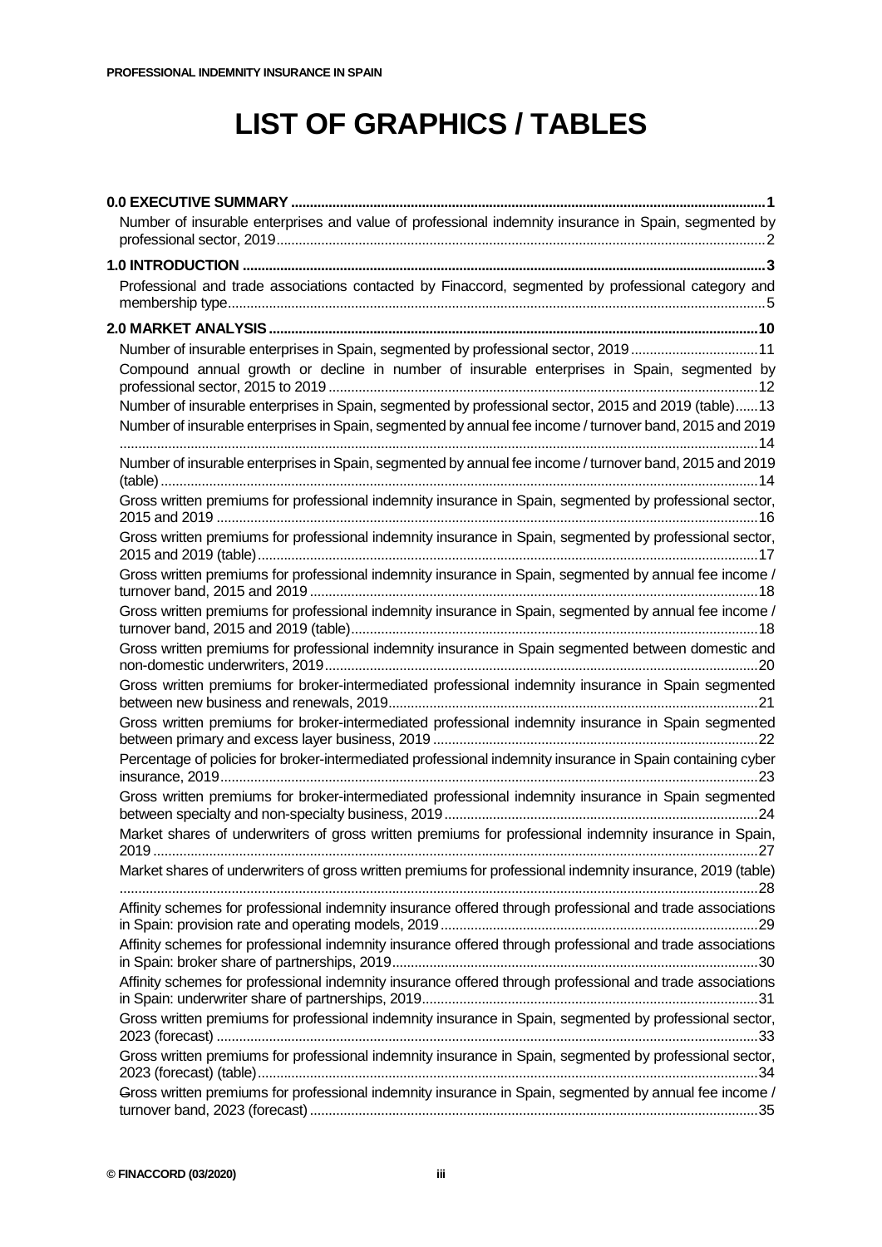## **LIST OF GRAPHICS / TABLES**

| Number of insurable enterprises and value of professional indemnity insurance in Spain, segmented by       |
|------------------------------------------------------------------------------------------------------------|
|                                                                                                            |
| Professional and trade associations contacted by Finaccord, segmented by professional category and         |
|                                                                                                            |
| Number of insurable enterprises in Spain, segmented by professional sector, 201911                         |
| Compound annual growth or decline in number of insurable enterprises in Spain, segmented by                |
| Number of insurable enterprises in Spain, segmented by professional sector, 2015 and 2019 (table)13        |
| Number of insurable enterprises in Spain, segmented by annual fee income / turnover band, 2015 and 2019    |
| Number of insurable enterprises in Spain, segmented by annual fee income / turnover band, 2015 and 2019    |
| Gross written premiums for professional indemnity insurance in Spain, segmented by professional sector,    |
| Gross written premiums for professional indemnity insurance in Spain, segmented by professional sector,    |
| Gross written premiums for professional indemnity insurance in Spain, segmented by annual fee income /     |
| Gross written premiums for professional indemnity insurance in Spain, segmented by annual fee income /     |
| Gross written premiums for professional indemnity insurance in Spain segmented between domestic and        |
| Gross written premiums for broker-intermediated professional indemnity insurance in Spain segmented        |
| Gross written premiums for broker-intermediated professional indemnity insurance in Spain segmented        |
| Percentage of policies for broker-intermediated professional indemnity insurance in Spain containing cyber |
| Gross written premiums for broker-intermediated professional indemnity insurance in Spain segmented        |
| Market shares of underwriters of gross written premiums for professional indemnity insurance in Spain,     |
| Market shares of underwriters of gross written premiums for professional indemnity insurance, 2019 (table) |
| Affinity schemes for professional indemnity insurance offered through professional and trade associations  |
| Affinity schemes for professional indemnity insurance offered through professional and trade associations  |
| Affinity schemes for professional indemnity insurance offered through professional and trade associations  |
| Gross written premiums for professional indemnity insurance in Spain, segmented by professional sector,    |
| Gross written premiums for professional indemnity insurance in Spain, segmented by professional sector,    |
| Gross written premiums for professional indemnity insurance in Spain, segmented by annual fee income /     |